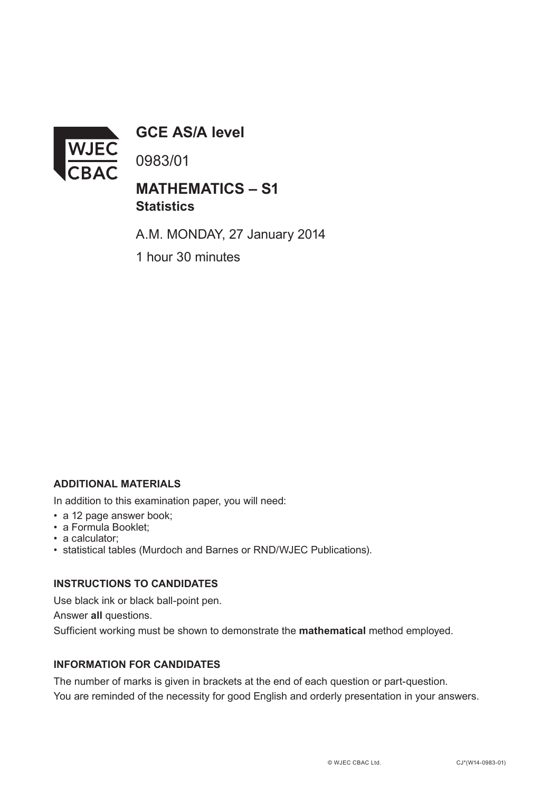

**GCE AS/A level**

0983/01

## **MATHEMATICS – S1 Statistics**

A.M. MONDAY, 27 January 2014

1 hour 30 minutes

### **ADDITIONAL MATERIALS**

In addition to this examination paper, you will need:

- a 12 page answer book;
- a Formula Booklet;
- a calculator;
- statistical tables (Murdoch and Barnes or RND/WJEC Publications).

#### **INSTRUCTIONS TO CANDIDATES**

Use black ink or black ball-point pen. Answer **all** questions. Sufficient working must be shown to demonstrate the **mathematical** method employed.

#### **INFORMATION FOR CANDIDATES**

The number of marks is given in brackets at the end of each question or part-question. You are reminded of the necessity for good English and orderly presentation in your answers.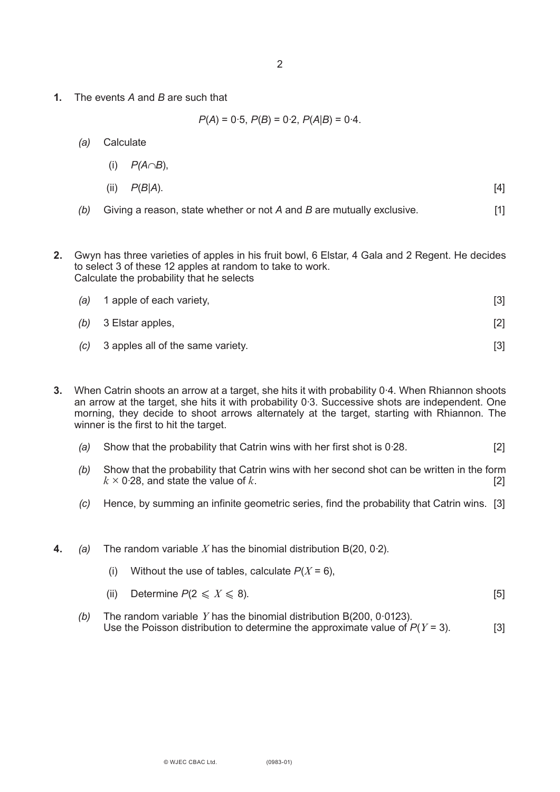**1.** The events *A* and *B* are such that

 $P(A) = 0.5$ ,  $P(B) = 0.2$ ,  $P(A|B) = 0.4$ .

- *(a)* Calculate
	- (i) *P(A*∩*B*),
	- (ii) *P*(*B*|*A*). [4]
- *(b)* Giving a reason, state whether or not *A* and *B* are mutually exclusive. [1]
- **2.** Gwyn has three varieties of apples in his fruit bowl, 6 Elstar, 4 Gala and 2 Regent. He decides to select 3 of these 12 apples at random to take to work. Calculate the probability that he selects

| (a) 1 apple of each variety,          | $\lceil 3 \rceil$ |
|---------------------------------------|-------------------|
| $(b)$ 3 Elstar apples,                | $[2]$             |
| (c) 3 apples all of the same variety. |                   |

- **3.** When Catrin shoots an arrow at a target, she hits it with probability 0·4. When Rhiannon shoots an arrow at the target, she hits it with probability 0·3. Successive shots are independent. One morning, they decide to shoot arrows alternately at the target, starting with Rhiannon. The winner is the first to hit the target.
	- *(a)* Show that the probability that Catrin wins with her first shot is 0·28. [2]
	- *(b)* Show that the probability that Catrin wins with her second shot can be written in the form  $k \times 0.28$ , and state the value of *k*. [2]
	- *(c)* Hence, by summing an infinite geometric series, find the probability that Catrin wins. [3]
- **4.** *(a)* The random variable *X* has the binomial distribution B(20, 0·2).
	- (i) Without the use of tables, calculate  $P(X = 6)$ ,
	- (ii) Determine  $P(2 \le X \le 8)$ .
	- *(b)* The random variable *Y* has the binomial distribution B(200, 0·0123). Use the Poisson distribution to determine the approximate value of  $P(Y = 3)$ . [3]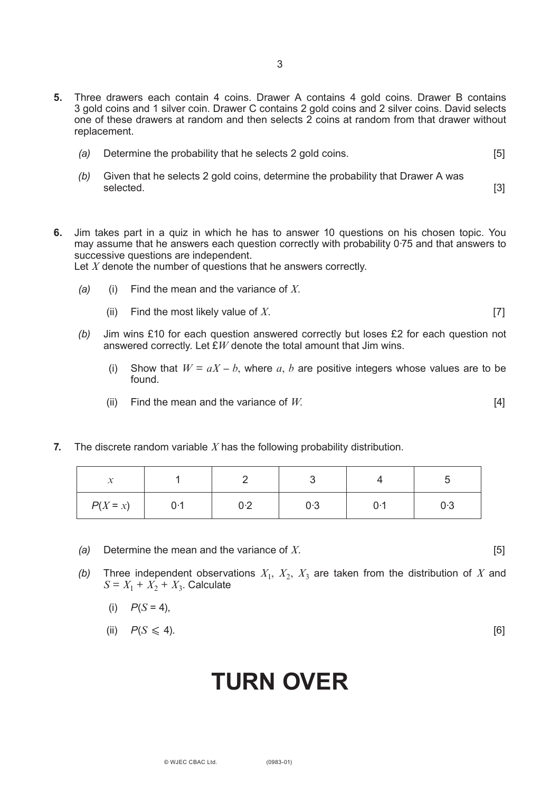- **5.** Three drawers each contain 4 coins. Drawer A contains 4 gold coins. Drawer B contains 3 gold coins and 1 silver coin. Drawer C contains 2 gold coins and 2 silver coins. David selects one of these drawers at random and then selects  $\tilde{2}$  coins at random from that drawer without replacement.
	- *(a)* Determine the probability that he selects 2 gold coins. [5]
	- *(b)* Given that he selects 2 gold coins, determine the probability that Drawer A was selected. [3] **Selected.** [3]
- **6.** Jim takes part in a quiz in which he has to answer 10 questions on his chosen topic. You may assume that he answers each question correctly with probability 0·75 and that answers to successive questions are independent.

Let *X* denote the number of questions that he answers correctly.

- *(a)* (i) Find the mean and the variance of *X*.
	- (ii) Find the most likely value of *X*. [7]
- *(b)* Jim wins £10 for each question answered correctly but loses £2 for each question not answered correctly. Let £*W* denote the total amount that Jim wins.
	- (i) Show that  $W = aX b$ , where a, b are positive integers whose values are to be found.
	- (ii) Find the mean and the variance of  $W$ . [4]
- **7.** The discrete random variable *X* has the following probability distribution.

| - -<br>$\sim$ $\sim$ |     |           |     |     |     |
|----------------------|-----|-----------|-----|-----|-----|
| $P(X = x)$           | 0.1 | ገ.ጋ<br>◡▵ | 0.3 | ი 1 | 0.3 |

- *(a)* Determine the mean and the variance of *X*. [5]
- *(b)* Three independent observations  $X_1$ ,  $X_2$ ,  $X_3$  are taken from the distribution of X and  $S = X_1 + X_2 + X_3$ . Calculate
	- (i)  $P(S = 4)$ ,
	- (ii)  $P(S \le 4)$ . [6]

# **Turn over**